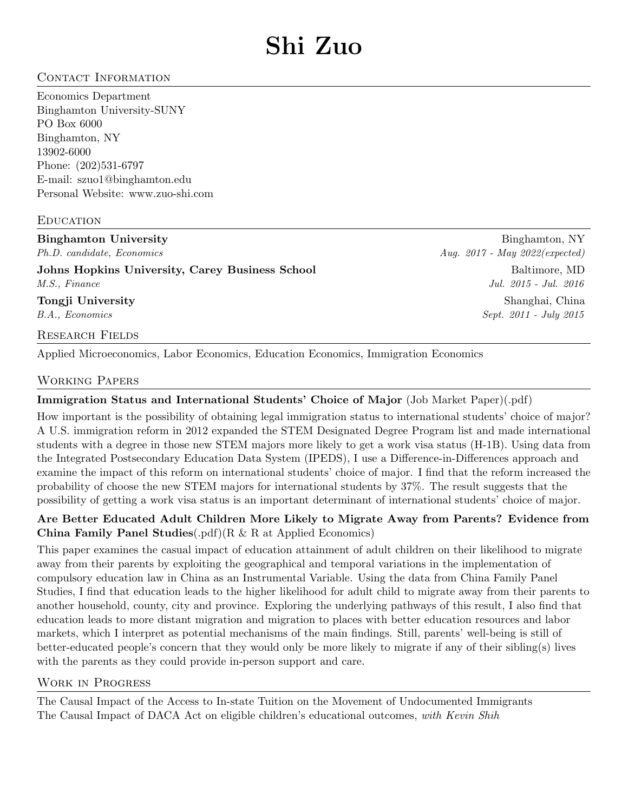# CONTACT INFORMATION

Economics Department Binghamton University-SUNY PO Box 6000 Binghamton, NY 13902-6000 Phone: (202)531-6797 E-mail: szuo1@binghamton.edu Personal Website:<www.zuo-shi.com>

### **EDUCATION**

Binghamton University **Binghamton, NY** Ph.D. candidate, Economics Aug. 2017 - May 2022(expected) Johns Hopkins University, Carey Business School and Baltimore, MD Baltimore, MD M.S., Finance Jul. 2015 - Jul. 2016 **Tongji University** Shanghai, China B.A., Economics Sept. 2011 - July 2015 Research Fields

Applied Microeconomics, Labor Economics, Education Economics, Immigration Economics

#### Working Papers

## Immigration Status and International Students' Choice of Major (Job Market Paper[\)\(.pdf\)](https://drive.google.com/file/d/1nLBJ4-R3hbpP7ZXez7IUoYPCIBwTiVzu/view?usp=sharing)

How important is the possibility of obtaining legal immigration status to international students' choice of major? A U.S. immigration reform in 2012 expanded the STEM Designated Degree Program list and made international students with a degree in those new STEM majors more likely to get a work visa status (H-1B). Using data from the Integrated Postsecondary Education Data System (IPEDS), I use a Difference-in-Differences approach and examine the impact of this reform on international students' choice of major. I find that the reform increased the probability of choose the new STEM majors for international students by 37%. The result suggests that the possibility of getting a work visa status is an important determinant of international students' choice of major.

## Are Better Educated Adult Children More Likely to Migrate Away from Parents? Evidence from China Family Panel Studies[\(.pdf\)\(](https://drive.google.com/file/d/1k6QbsczwsEiT6HR9S17WmyvwQBPeLIux/view?usp=sharing)R & R at Applied Economics)

This paper examines the casual impact of education attainment of adult children on their likelihood to migrate away from their parents by exploiting the geographical and temporal variations in the implementation of compulsory education law in China as an Instrumental Variable. Using the data from China Family Panel Studies, I find that education leads to the higher likelihood for adult child to migrate away from their parents to another household, county, city and province. Exploring the underlying pathways of this result, I also find that education leads to more distant migration and migration to places with better education resources and labor markets, which I interpret as potential mechanisms of the main findings. Still, parents' well-being is still of better-educated people's concern that they would only be more likely to migrate if any of their sibling(s) lives with the parents as they could provide in-person support and care.

#### Work in Progress

The Causal Impact of the Access to In-state Tuition on the Movement of Undocumented Immigrants The Causal Impact of DACA Act on eligible children's educational outcomes, with Kevin Shih